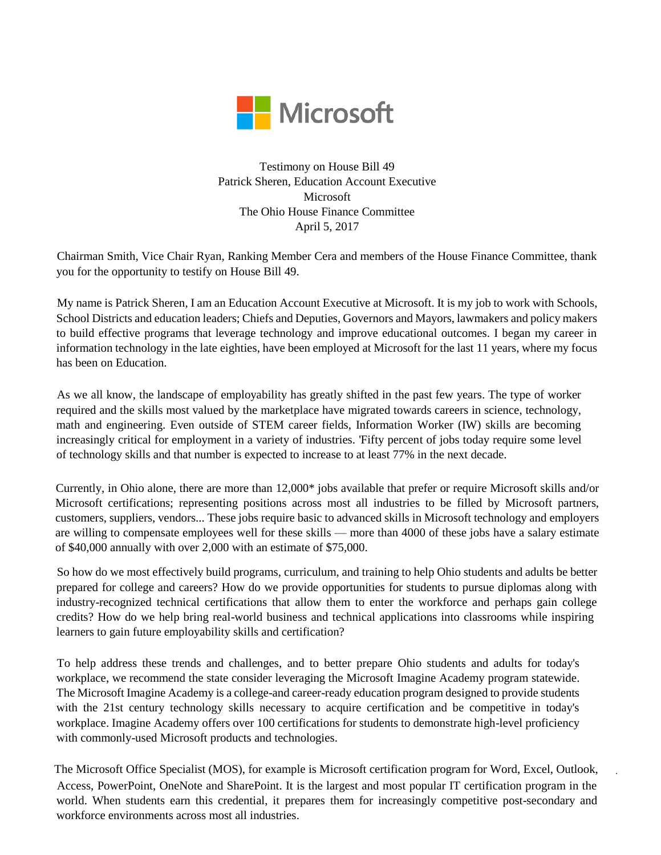

Testimony on House Bill 49 Patrick Sheren, Education Account Executive Microsoft The Ohio House Finance Committee April 5, 2017

Chairman Smith, Vice Chair Ryan, Ranking Member Cera and members of the House Finance Committee, thank you for the opportunity to testify on House Bill 49.

My name is Patrick Sheren, I am an Education Account Executive at Microsoft. It is my job to work with Schools, School Districts and education leaders; Chiefs and Deputies, Governors and Mayors, lawmakers and policy makers to build effective programs that leverage technology and improve educational outcomes. I began my career in information technology in the late eighties, have been employed at Microsoft for the last 11 years, where my focus has been on Education.

As we all know, the landscape of employability has greatly shifted in the past few years. The type of worker required and the skills most valued by the marketplace have migrated towards careers in science, technology, math and engineering. Even outside of STEM career fields, Information Worker (IW) skills are becoming increasingly critical for employment in a variety of industries. 'Fifty percent of jobs today require some level of technology skills and that number is expected to increase to at least 77% in the next decade.

Currently, in Ohio alone, there are more than 12,000\* jobs available that prefer or require Microsoft skills and/or Microsoft certifications; representing positions across most all industries to be filled by Microsoft partners, customers, suppliers, vendors... These jobs require basic to advanced skills in Microsoft technology and employers are willing to compensate employees well for these skills — more than 4000 of these jobs have a salary estimate of \$40,000 annually with over 2,000 with an estimate of \$75,000.

So how do we most effectively build programs, curriculum, and training to help Ohio students and adults be better prepared for college and careers? How do we provide opportunities for students to pursue diplomas along with industry-recognized technical certifications that allow them to enter the workforce and perhaps gain college credits? How do we help bring real-world business and technical applications into classrooms while inspiring learners to gain future employability skills and certification?

To help address these trends and challenges, and to better prepare Ohio students and adults for today's workplace, we recommend the state consider leveraging the Microsoft Imagine Academy program statewide. The Microsoft Imagine Academy is a college-and career-ready education program designed to provide students with the 21st century technology skills necessary to acquire certification and be competitive in today's workplace. Imagine Academy offers over 100 certifications for students to demonstrate high-level proficiency with commonly-used Microsoft products and technologies.

The Microsoft Office Specialist (MOS), for example is Microsoft certification program for Word, Excel, Outlook, Access, PowerPoint, OneNote and SharePoint. It is the largest and most popular IT certification program in the world. When students earn this credential, it prepares them for increasingly competitive post-secondary and workforce environments across most all industries.